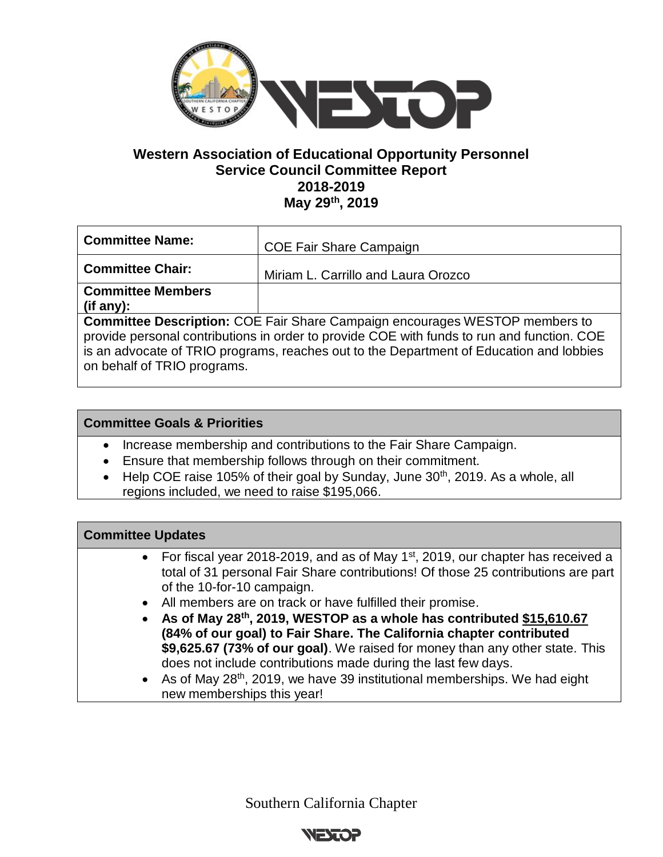

## **Western Association of Educational Opportunity Personnel Service Council Committee Report 2018-2019 May 29th, 2019**

| <b>Committee Name:</b>                                                                                                                                                                                                                                                                                     | <b>COE Fair Share Campaign</b>      |
|------------------------------------------------------------------------------------------------------------------------------------------------------------------------------------------------------------------------------------------------------------------------------------------------------------|-------------------------------------|
| <b>Committee Chair:</b>                                                                                                                                                                                                                                                                                    | Miriam L. Carrillo and Laura Orozco |
| <b>Committee Members</b>                                                                                                                                                                                                                                                                                   |                                     |
| $($ if any $)$ :                                                                                                                                                                                                                                                                                           |                                     |
| <b>Committee Description: COE Fair Share Campaign encourages WESTOP members to</b><br>provide personal contributions in order to provide COE with funds to run and function. COE<br>is an advocate of TRIO programs, reaches out to the Department of Education and lobbies<br>on behalf of TRIO programs. |                                     |

## **Committee Goals & Priorities**

- Increase membership and contributions to the Fair Share Campaign.
- Ensure that membership follows through on their commitment.
- Help COE raise 105% of their goal by Sunday, June 30<sup>th</sup>, 2019. As a whole, all regions included, we need to raise \$195,066.

| <b>Committee Updates</b>                                                                                                                                                                                                                                                                                                                                                           |  |
|------------------------------------------------------------------------------------------------------------------------------------------------------------------------------------------------------------------------------------------------------------------------------------------------------------------------------------------------------------------------------------|--|
| • For fiscal year 2018-2019, and as of May 1 <sup>st</sup> , 2019, our chapter has received a<br>total of 31 personal Fair Share contributions! Of those 25 contributions are part<br>of the 10-for-10 campaign.                                                                                                                                                                   |  |
| All members are on track or have fulfilled their promise.<br>$\bullet$<br>As of May 28th, 2019, WESTOP as a whole has contributed \$15,610.67<br>$\bullet$<br>(84% of our goal) to Fair Share. The California chapter contributed<br>\$9,625.67 (73% of our goal). We raised for money than any other state. This<br>does not include contributions made during the last few days. |  |
| As of May 28 <sup>th</sup> , 2019, we have 39 institutional memberships. We had eight<br>$\bullet$<br>new memberships this year!                                                                                                                                                                                                                                                   |  |

Southern California Chapter